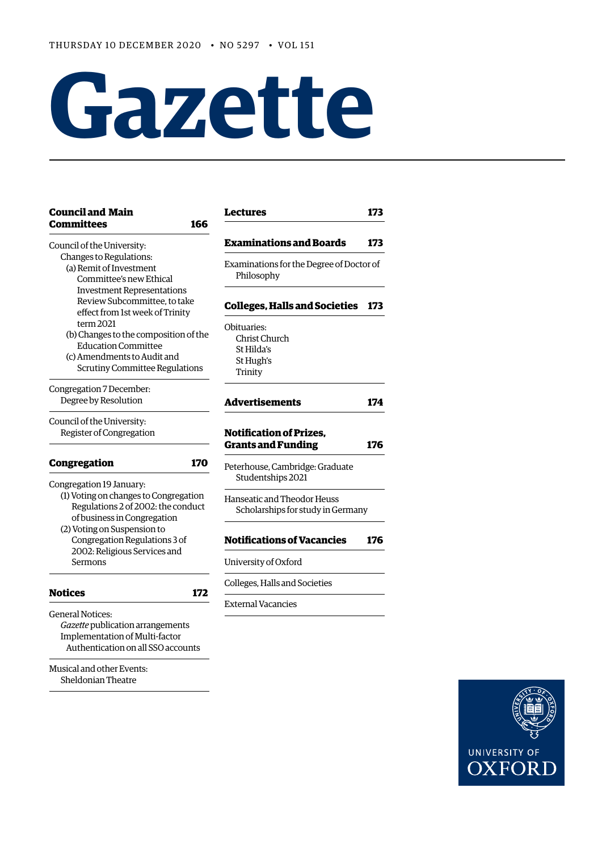# **Gazette**

| <b>Council and Main</b><br><b>Committees</b><br>166                                                                                                                                    | <b>Lectures</b>                                                    | 173 |
|----------------------------------------------------------------------------------------------------------------------------------------------------------------------------------------|--------------------------------------------------------------------|-----|
| Council of the University:                                                                                                                                                             | <b>Examinations and Boards</b>                                     | 173 |
| Changes to Regulations:<br>(a) Remit of Investment<br>Committee's new Ethical                                                                                                          | Examinations for the Degree of Doctor of<br>Philosophy             |     |
| <b>Investment Representations</b><br>Review Subcommittee, to take<br>effect from 1st week of Trinity                                                                                   | <b>Colleges, Halls and Societies</b>                               | 173 |
| term 2021<br>(b) Changes to the composition of the<br><b>Education Committee</b><br>(c) Amendments to Audit and<br><b>Scrutiny Committee Regulations</b>                               | Obituaries:<br>Christ Church<br>St Hilda's<br>St Hugh's<br>Trinity |     |
| Congregation 7 December:<br>Degree by Resolution                                                                                                                                       | <b>Advertisements</b>                                              | 174 |
| Council of the University:<br>Register of Congregation                                                                                                                                 | <b>Notification of Prizes,</b><br><b>Grants and Funding</b>        | 176 |
| Congregation<br>170                                                                                                                                                                    | Peterhouse, Cambridge: Graduate<br>Studentships 2021               |     |
| Congregation 19 January:<br>(1) Voting on changes to Congregation<br>Regulations 2 of 2002: the conduct<br>of business in Congregation                                                 | Hanseatic and Theodor Heuss<br>Scholarships for study in Germany   |     |
| (2) Voting on Suspension to<br>Congregation Regulations 3 of                                                                                                                           | <b>Notifications of Vacancies</b>                                  | 176 |
| 2002: Religious Services and<br>Sermons                                                                                                                                                | University of Oxford                                               |     |
| <b>Notices</b><br>172                                                                                                                                                                  | Colleges, Halls and Societies                                      |     |
| <b>General Notices:</b><br>Gazette publication arrangements<br>Implementation of Multi-factor<br>Authentication on all SSO accounts<br>Musical and other Events:<br>Sheldonian Theatre | <b>External Vacancies</b>                                          |     |

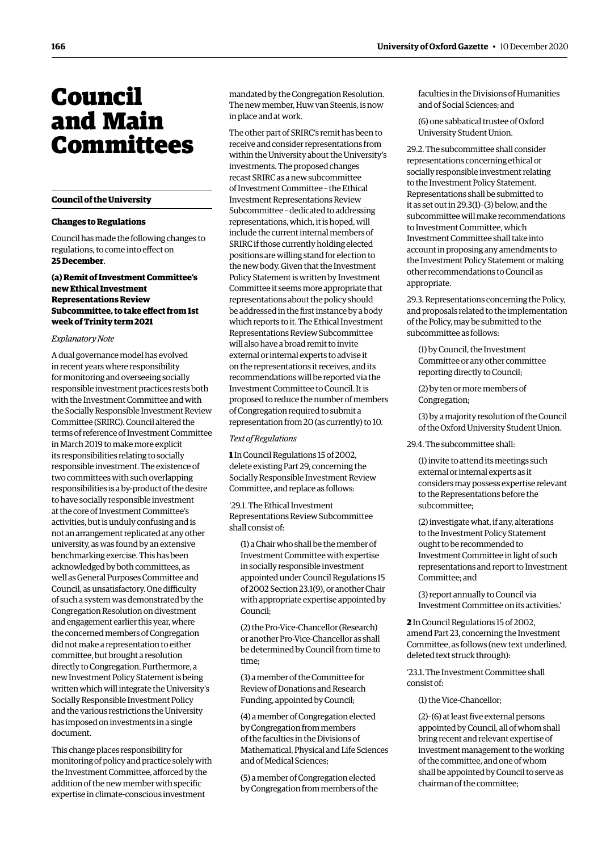## <span id="page-1-0"></span>Council and Main Committees

#### **Council of the University**

#### **Changes to Regulations**

Council has made the following changes to regulations, to come into efect on **25 December**.

#### **(a) Remit of Investment Committee's new Ethical Investment Representations Review Subcommittee, to take efect from 1st week of Trinity term 2021**

#### *Explanatory Note*

A dual governance model has evolved in recent years where responsibility for monitoring and overseeing socially responsible investment practices rests both with the Investment Committee and with the Socially Responsible Investment Review Committee (SRIRC). Council altered the terms of reference of Investment Committee in March 2019 to make more explicit its responsibilities relating to socially responsible investment. The existence of two committees with such overlapping responsibilities is a by-product of the desire to have socially responsible investment at the core of Investment Committee's activities, but is unduly confusing and is not an arrangement replicated at any other university, as was found by an extensive benchmarking exercise. This has been acknowledged by both committees, as well as General Purposes Committee and Council, as unsatisfactory. One difficulty of such a system was demonstrated by the Congregation Resolution on divestment and engagement earlier this year, where the concerned members of Congregation did not make a representation to either committee, but brought a resolution directly to Congregation. Furthermore, a new Investment Policy Statement is being written which will integrate the University's Socially Responsible Investment Policy and the various restrictions the University has imposed on investments in a single document.

This change places responsibility for monitoring of policy and practice solely with the Investment Committee, afforced by the addition of the new member with specifc expertise in climate-conscious investment

mandated by the Congregation Resolution. The new member, Huw van Steenis, is now in place and at work.

The other part of SRIRC's remit has been to receive and consider representations from within the University about the University's investments. The proposed changes recast SRIRC as a new subcommittee of Investment Committee – the Ethical Investment Representations Review Subcommittee – dedicated to addressing representations, which, it is hoped, will include the current internal members of SRIRC if those currently holding elected positions are willing stand for election to the new body. Given that the Investment Policy Statement is written by Investment Committee it seems more appropriate that representations about the policy should be addressed in the frst instance by a body which reports to it. The Ethical Investment Representations Review Subcommittee will also have a broad remit to invite external or internal experts to advise it on the representations it receives, and its recommendations will be reported via the Investment Committee to Council. It is proposed to reduce the number of members of Congregation required to submit a representation from 20 (as currently) to 10.

#### *Text of Regulations*

**1** In Council Regulations 15 of 2002, delete existing Part 29, concerning the Socially Responsible Investment Review Committee, and replace as follows:

'29.1. The Ethical Investment Representations Review Subcommittee shall consist of:

(1) a Chair who shall be the member of Investment Committee with expertise in socially responsible investment appointed under Council Regulations 15 of 2002 Section 23.1(9), or another Chair with appropriate expertise appointed by Council;

(2) the Pro-Vice-Chancellor (Research) or another Pro-Vice-Chancellor as shall be determined by Council from time to time;

(3) a member of the Committee for Review of Donations and Research Funding, appointed by Council;

(4) a member of Congregation elected by Congregation from members of the faculties in the Divisions of Mathematical, Physical and Life Sciences and of Medical Sciences;

(5) a member of Congregation elected by Congregation from members of the

faculties in the Divisions of Humanities and of Social Sciences; and

(6) one sabbatical trustee of Oxford University Student Union.

29.2. The subcommittee shall consider representations concerning ethical or socially responsible investment relating to the Investment Policy Statement. Representations shall be submitted to it as set out in 29.3(1)–(3) below, and the subcommittee will make recommendations to Investment Committee, which Investment Committee shall take into account in proposing any amendments to the Investment Policy Statement or making other recommendations to Council as appropriate.

29.3. Representations concerning the Policy, and proposals related to the implementation of the Policy, may be submitted to the subcommittee as follows:

(1) by Council, the Investment Committee or any other committee reporting directly to Council;

(2) by ten or more members of Congregation;

(3) by a majority resolution of the Council of the Oxford University Student Union.

29.4. The subcommittee shall:

(1) invite to attend its meetings such external or internal experts as it considers may possess expertise relevant to the Representations before the subcommittee;

(2) investigate what, if any, alterations to the Investment Policy Statement ought to be recommended to Investment Committee in light of such representations and report to Investment Committee; and

(3) report annually to Council via Investment Committee on its activities.'

**2** In Council Regulations 15 of 2002, amend Part 23, concerning the Investment Committee, as follows (new text underlined, deleted text struck through):

'23.1. The Investment Committee shall consist of:

(1) the Vice-Chancellor;

 $(2)-(6)$  at least five external persons appointed by Council, all of whom shall bring recent and relevant expertise of investment management to the working of the committee, and one of whom shall be appointed by Council to serve as chairman of the committee;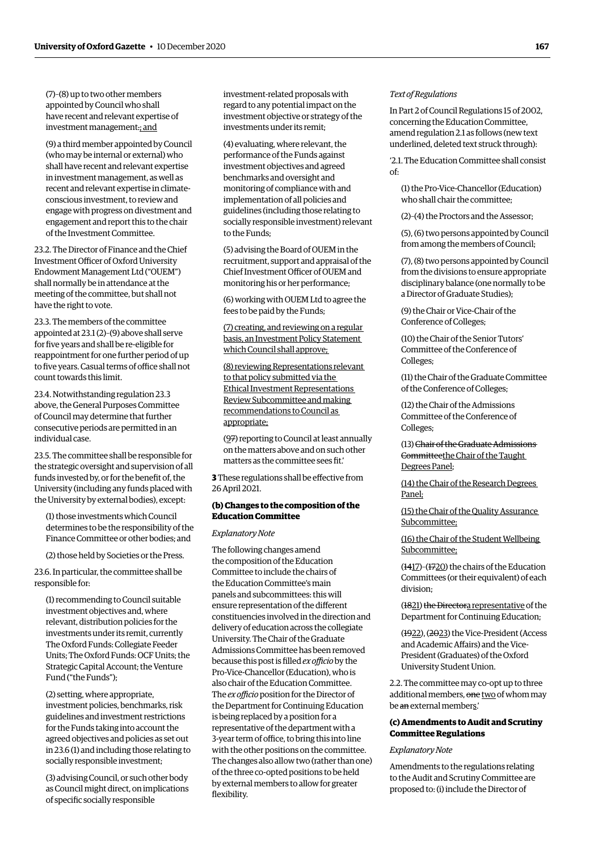(7)–(8) up to two other members appointed by Council who shall have recent and relevant expertise of investment management.; and

(9) a third member appointed by Council (who may be internal or external) who shall have recent and relevant expertise in investment management, as well as recent and relevant expertise in climateconscious investment, to review and engage with progress on divestment and engagement and report this to the chair of the Investment Committee.

23.2. The Director of Finance and the Chief Investment Officer of Oxford University Endowment Management Ltd ("OUEM") shall normally be in attendance at the meeting of the committee, but shall not have the right to vote.

23.3. The members of the committee appointed at 23.1 (2)–(9) above shall serve for five years and shall be re-eligible for reappointment for one further period of up to five years. Casual terms of office shall not count towards this limit.

23.4. Notwithstanding regulation 23.3 above, the General Purposes Committee of Council may determine that further consecutive periods are permitted in an individual case.

23.5. The committee shall be responsible for the strategic oversight and supervision of all funds invested by, or for the beneft of, the University (including any funds placed with the University by external bodies), except:

(1) those investments which Council determines to be the responsibility of the Finance Committee or other bodies; and

(2) those held by Societies or the Press.

23.6. In particular, the committee shall be responsible for:

(1) recommending to Council suitable investment objectives and, where relevant, distribution policies for the investments under its remit, currently The Oxford Funds: Collegiate Feeder Units; The Oxford Funds: OCF Units; the Strategic Capital Account; the Venture Fund ("the Funds");

(2) setting, where appropriate, investment policies, benchmarks, risk guidelines and investment restrictions for the Funds taking into account the agreed objectives and policies as set out in 23.6 (1) and including those relating to socially responsible investment;

(3) advising Council, or such other body as Council might direct, on implications of specifc socially responsible

investment-related proposals with regard to any potential impact on the investment objective or strategy of the investments under its remit;

(4) evaluating, where relevant, the performance of the Funds against investment objectives and agreed benchmarks and oversight and monitoring of compliance with and implementation of all policies and guidelines (including those relating to socially responsible investment) relevant to the Funds;

(5) advising the Board of OUEM in the recruitment, support and appraisal of the Chief Investment Officer of OUEM and monitoring his or her performance;

(6) working with OUEM Ltd to agree the fees to be paid by the Funds;

(7) creating, and reviewing on a regular basis, an Investment Policy Statement which Council shall approve;

(8) reviewing Representations relevant to that policy submitted via the Ethical Investment Representations Review Subcommittee and making recommendations to Council as appropriate;

(97) reporting to Council at least annually on the matters above and on such other matters as the committee sees ft.'

**3** These regulations shall be effective from 26 April 2021.

#### **(b) Changes to the composition of the Education Committee**

#### *Explanatory Note*

The following changes amend the composition of the Education Committee to include the chairs of the Education Committee's main panels and subcommittees: this will ensure representation of the diferent constituencies involved in the direction and delivery of education across the collegiate University. The Chair of the Graduate Admissions Committee has been removed because this post is filled *ex officio* by the Pro-Vice-Chancellor (Education), who is also chair of the Education Committee. The *ex officio* position for the Director of the Department for Continuing Education is being replaced by a position for a representative of the department with a 3-year term of office, to bring this into line with the other positions on the committee. The changes also allow two (rather than one) of the three co-opted positions to be held by external members to allow for greater flexibility.

#### *Text of Regulations*

In Part 2 of Council Regulations 15 of 2002, concerning the Education Committee, amend regulation 2.1 as follows (new text underlined, deleted text struck through):

'2.1. The Education Committee shall consist of:

(1) the Pro-Vice-Chancellor (Education) who shall chair the committee;

(2)–(4) the Proctors and the Assessor;

(5), (6) two persons appointed by Council from among the members of Council;

(7), (8) two persons appointed by Council from the divisions to ensure appropriate disciplinary balance (one normally to be a Director of Graduate Studies);

(9) the Chair or Vice-Chair of the Conference of Colleges;

(10) the Chair of the Senior Tutors' Committee of the Conference of Colleges;

(11) the Chair of the Graduate Committee of the Conference of Colleges;

(12) the Chair of the Admissions Committee of the Conference of Colleges;

(13) Chair of the Graduate Admissions Committeethe Chair of the Taught Degrees Panel;

(14) the Chair of the Research Degrees Panel;

(15) the Chair of the Quality Assurance Subcommittee;

(16) the Chair of the Student Wellbeing Subcommittee;

(1417)–(1720) the chairs of the Education Committees (or their equivalent) of each division;

(1821) the Directora representative of the Department for Continuing Education;

(1922), (2023) the Vice-President (Access and Academic Afairs) and the Vice-President (Graduates) of the Oxford University Student Union.

2.2. The committee may co-opt up to three additional members, one two of whom may be an external members.'

#### **(c) Amendments to Audit and Scrutiny Committee Regulations**

*Explanatory Note* 

Amendments to the regulations relating to the Audit and Scrutiny Committee are proposed to: (i) include the Director of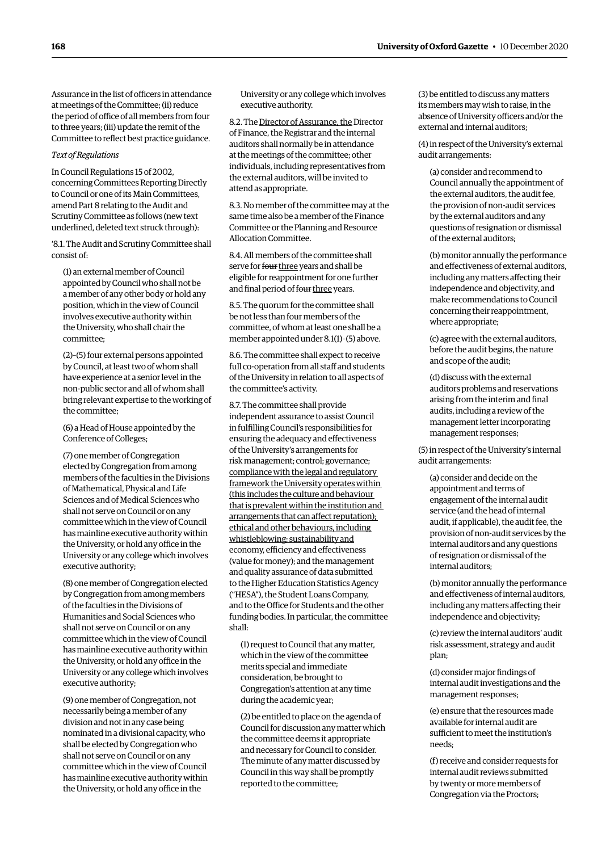Assurance in the list of officers in attendance at meetings of the Committee; (ii) reduce the period of office of all members from four to three years; (iii) update the remit of the Committee to refect best practice guidance.

#### *Text of Regulations*

In Council Regulations 15 of 2002, concerning Committees Reporting Directly to Council or one of its Main Committees, amend Part 8 relating to the Audit and Scrutiny Committee as follows (new text underlined, deleted text struck through):

'8.1. The Audit and Scrutiny Committee shall consist of:

(1) an external member of Council appointed by Council who shall not be a member of any other body or hold any position, which in the view of Council involves executive authority within the University, who shall chair the committee;

(2)–(5) four external persons appointed by Council, at least two of whom shall have experience at a senior level in the non-public sector and all of whom shall bring relevant expertise to the working of the committee;

(6) a Head of House appointed by the Conference of Colleges;

(7) one member of Congregation elected by Congregation from among members of the faculties in the Divisions of Mathematical, Physical and Life Sciences and of Medical Sciences who shall not serve on Council or on any committee which in the view of Council has mainline executive authority within the University, or hold any office in the University or any college which involves executive authority;

(8) one member of Congregation elected by Congregation from among members of the faculties in the Divisions of Humanities and Social Sciences who shall not serve on Council or on any committee which in the view of Council has mainline executive authority within the University, or hold any office in the University or any college which involves executive authority;

(9) one member of Congregation, not necessarily being a member of any division and not in any case being nominated in a divisional capacity, who shall be elected by Congregation who shall not serve on Council or on any committee which in the view of Council has mainline executive authority within the University, or hold any office in the

University or any college which involves executive authority.

8.2. The Director of Assurance, the Director of Finance, the Registrar and the internal auditors shall normally be in attendance at the meetings of the committee; other individuals, including representatives from the external auditors, will be invited to attend as appropriate.

8.3. No member of the committee may at the same time also be a member of the Finance Committee or the Planning and Resource Allocation Committee.

8.4. All members of the committee shall serve for four three years and shall be eligible for reappointment for one further and final period of four three years.

8.5. The quorum for the committee shall be not less than four members of the committee, of whom at least one shall be a member appointed under 8.1(1)–(5) above.

8.6. The committee shall expect to receive full co-operation from all staff and students of the University in relation to all aspects of the committee's activity.

8.7. The committee shall provide independent assurance to assist Council in fulflling Council's responsibilities for ensuring the adequacy and efectiveness of the University's arrangements for risk management; control; governance; compliance with the legal and regulatory framework the University operates within (this includes the culture and behaviour that is prevalent within the institution and arrangements that can afect reputation); ethical and other behaviours, including whistleblowing; sustainability and economy, efficiency and effectiveness (value for money); and the management and quality assurance of data submitted to the Higher Education Statistics Agency ("HESA"), the Student Loans Company, and to the Office for Students and the other funding bodies. In particular, the committee shall:

(1) request to Council that any matter, which in the view of the committee merits special and immediate consideration, be brought to Congregation's attention at any time during the academic year;

(2) be entitled to place on the agenda of Council for discussion any matter which the committee deems it appropriate and necessary for Council to consider. The minute of any matter discussed by Council in this way shall be promptly reported to the committee;

(3) be entitled to discuss any matters its members may wish to raise, in the absence of University officers and/or the external and internal auditors;

(4) in respect of the University's external audit arrangements:

(a) consider and recommend to Council annually the appointment of the external auditors, the audit fee, the provision of non-audit services by the external auditors and any questions of resignation or dismissal of the external auditors;

(b) monitor annually the performance and efectiveness of external auditors, including any matters afecting their independence and objectivity, and make recommendations to Council concerning their reappointment, where appropriate;

(c) agree with the external auditors, before the audit begins, the nature and scope of the audit;

(d) discuss with the external auditors problems and reservations arising from the interim and fnal audits, including a review of the management letter incorporating management responses;

(5) in respect of the University's internal audit arrangements:

(a) consider and decide on the appointment and terms of engagement of the internal audit service (and the head of internal audit, if applicable), the audit fee, the provision of non-audit services by the internal auditors and any questions of resignation or dismissal of the internal auditors;

(b) monitor annually the performance and efectiveness of internal auditors, including any matters afecting their independence and objectivity;

(c) review the internal auditors' audit risk assessment, strategy and audit plan;

(d) consider major fndings of internal audit investigations and the management responses;

(e) ensure that the resources made available for internal audit are sufficient to meet the institution's needs;

(f) receive and consider requests for internal audit reviews submitted by twenty or more members of Congregation via the Proctors;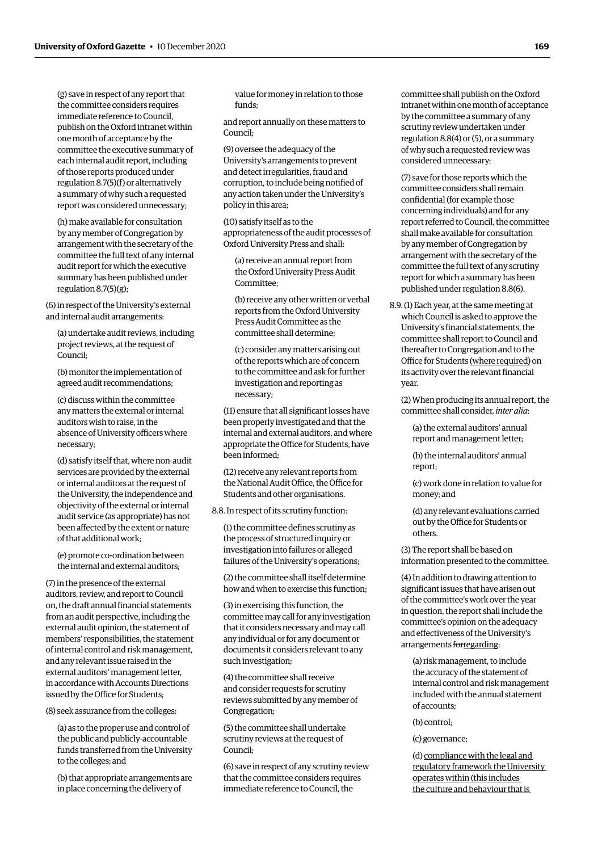(g) save in respect of any report that the committee considers requires immediate reference to Council, publish on the Oxford intranet within one month of acceptance by the committee the executive summary of each internal audit report, including of those reports produced under regulation 8.7(5)(f) or alternatively a summary of why such a requested report was considered unnecessary;

(h) make available for consultation by any member of Congregation by arrangement with the secretary of the committee the full text of any internal audit report for which the executive summary has been published under regulation 8.7(5)(g);

(6) in respect of the University's external and internal audit arrangements:

(a) undertake audit reviews, including project reviews, at the request of Council;

(b) monitor the implementation of agreed audit recommendations;

(c) discuss within the committee any matters the external or internal auditors wish to raise, in the absence of University officers where necessary;

(d) satisfy itself that, where non-audit services are provided by the external or internal auditors at the request of the University, the independence and objectivity of the external or internal audit service (as appropriate) has not been afected by the extent or nature of that additional work;

(e) promote co-ordination between the internal and external auditors;

(7) in the presence of the external auditors, review, and report to Council on, the draft annual fnancial statements from an audit perspective, including the external audit opinion, the statement of members' responsibilities, the statement of internal control and risk management, and any relevant issue raised in the external auditors' management letter, in accordance with Accounts Directions issued by the Office for Students:

(8) seek assurance from the colleges:

(a) as to the proper use and control of the public and publicly-accountable funds transferred from the University to the colleges; and

(b) that appropriate arrangements are in place concerning the delivery of

value for money in relation to those funds;

and report annually on these matters to Council;

(9) oversee the adequacy of the University's arrangements to prevent and detect irregularities, fraud and corruption, to include being notifed of any action taken under the University's policy in this area;

(10) satisfy itself as to the appropriateness of the audit processes of Oxford University Press and shall:

(a) receive an annual report from the Oxford University Press Audit Committee;

(b) receive any other written or verbal reports from the Oxford University Press Audit Committee as the committee shall determine;

(c) consider any matters arising out of the reports which are of concern to the committee and ask for further investigation and reporting as necessary;

(11) ensure that all signifcant losses have been properly investigated and that the internal and external auditors, and where appropriate the Office for Students, have been informed;

(12) receive any relevant reports from the National Audit Office, the Office for Students and other organisations.

8.8. In respect of its scrutiny function:

(1) the committee defnes scrutiny as the process of structured inquiry or investigation into failures or alleged failures of the University's operations;

(2) the committee shall itself determine how and when to exercise this function;

(3) in exercising this function, the committee may call for any investigation that it considers necessary and may call any individual or for any document or documents it considers relevant to any such investigation;

(4) the committee shall receive and consider requests for scrutiny reviews submitted by any member of Congregation;

(5) the committee shall undertake scrutiny reviews at the request of Council;

(6) save in respect of any scrutiny review that the committee considers requires immediate reference to Council, the

committee shall publish on the Oxford intranet within one month of acceptance by the committee a summary of any scrutiny review undertaken under regulation 8.8(4) or (5), or a summary of why such a requested review was considered unnecessary;

(7) save for those reports which the committee considers shall remain confdential (for example those concerning individuals) and for any report referred to Council, the committee shall make available for consultation by any member of Congregation by arrangement with the secretary of the committee the full text of any scrutiny report for which a summary has been published under regulation 8.8(6).

8.9. (1) Each year, at the same meeting at which Council is asked to approve the University's fnancial statements, the committee shall report to Council and thereafter to Congregation and to the Office for Students (where required) on its activity over the relevant fnancial year.

(2) When producing its annual report, the committee shall consider, *inter alia*:

(a) the external auditors' annual report and management letter;

(b) the internal auditors' annual report;

(c) work done in relation to value for money; and

(d) any relevant evaluations carried out by the Office for Students or others.

(3) The report shall be based on information presented to the committee.

(4) In addition to drawing attention to signifcant issues that have arisen out of the committee's work over the year in question, the report shall include the committee's opinion on the adequacy and efectiveness of the University's arrangements forregarding:

(a) risk management, to include the accuracy of the statement of internal control and risk management included with the annual statement of accounts;

(b) control;

#### (c) governance;

(d) compliance with the legal and regulatory framework the University operates within (this includes the culture and behaviour that is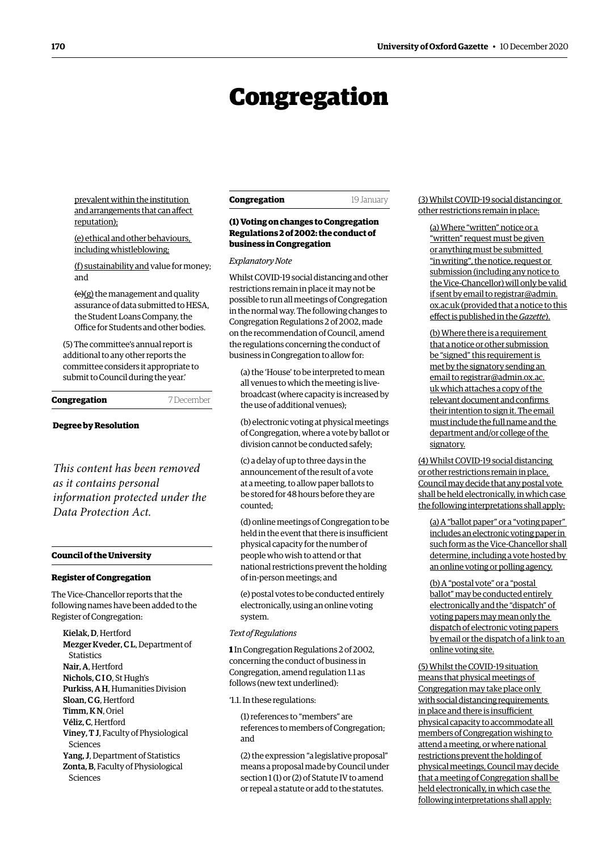## Congregation

<span id="page-5-0"></span>prevalent within the institution and arrangements that can afect reputation);

(e) ethical and other behaviours, including whistleblowing;

(f) sustainability and value for money; and

(e)(g) the management and quality assurance of data submitted to HESA, the Student Loans Company, the Office for Students and other bodies.

(5) The committee's annual report is additional to any other reports the committee considers it appropriate to submit to Council during the year.'

**Congregation** 7 December

#### **Degree by Resolution**

*This content has been removed as it contains personal information protected under the Data Protection Act.*

#### **Council of the University**

#### **Register of Congregation**

The Vice-Chancellor reports that the following names have been added to the Register of Congregation:

Kielak, D, Hertford Mezger Kveder, C L, Department of **Statistics** Nair, A, Hertford Nichols, C<sub>IO</sub>, St Hugh's Purkiss, A H, Humanities Division Sloan, C G, Hertford Timm, K N, Oriel Véliz, C, Hertford Viney, T J, Faculty of Physiological Sciences Yang, J, Department of Statistics Zonta, B, Faculty of Physiological Sciences

#### **Congregation** 19 January

#### **(1) Voting on changes to Congregation Regulations 2 of 2002: the conduct of business in Congregation**

*Explanatory Note* 

Whilst COVID-19 social distancing and other restrictions remain in place it may not be possible to run all meetings of Congregation in the normal way. The following changes to Congregation Regulations 2 of 2002, made on the recommendation of Council, amend the regulations concerning the conduct of business in Congregation to allow for:

(a) the 'House' to be interpreted to mean all venues to which the meeting is livebroadcast (where capacity is increased by the use of additional venues);

(b) electronic voting at physical meetings of Congregation, where a vote by ballot or division cannot be conducted safely;

(c) a delay of up to three days in the announcement of the result of a vote at a meeting, to allow paper ballots to be stored for 48 hours before they are counted;

(d) online meetings of Congregation to be held in the event that there is insufficient physical capacity for the number of people who wish to attend or that national restrictions prevent the holding of in-person meetings; and

(e) postal votes to be conducted entirely electronically, using an online voting system.

#### *Text of Regulations*

**1** In Congregation Regulations 2 of 2002, concerning the conduct of business in Congregation, amend regulation 1.1 as follows (new text underlined):

'1.1. In these regulations:

(1) references to "members" are references to members of Congregation; and

(2) the expression "a legislative proposal" means a proposal made by Council under section 1 (1) or (2) of Statute IV to amend or repeal a statute or add to the statutes.

#### (3) Whilst COVID-19 social distancing or other restrictions remain in place:

(a) Where "written" notice or a "written" request must be given or anything must be submitted "in writing", the notice, request or submission (including any notice to the Vice-Chancellor) will only be valid if sent by email to [registrar@admin.](mailto:registrar@admin.ox.ac.uk)  [ox.ac.uk](mailto:registrar@admin.ox.ac.uk) (provided that a notice to this efect is published in the *Gazette*).

(b) Where there is a requirement that a notice or other submission be "signed" this requirement is met by the signatory sending an email to [registrar@admin.ox.ac.](mailto:registrar@admin.ox.ac.uk)  [uk](mailto:registrar@admin.ox.ac.uk) which attaches a copy of the relevant document and confrms their intention to sign it. The email must include the full name and the department and/or college of the signatory.

(4) Whilst COVID-19 social distancing or other restrictions remain in place, Council may decide that any postal vote shall be held electronically, in which case the following interpretations shall apply:

(a) A "ballot paper" or a "voting paper" includes an electronic voting paper in such form as the Vice-Chancellor shall determine, including a vote hosted by an online voting or polling agency.

(b) A "postal vote" or a "postal ballot" may be conducted entirely electronically and the "dispatch" of voting papers may mean only the dispatch of electronic voting papers by email or the dispatch of a link to an online voting site.

(5) Whilst the COVID-19 situation means that physical meetings of Congregation may take place only with social distancing requirements in place and there is insufficient physical capacity to accommodate all members of Congregation wishing to attend a meeting, or where national restrictions prevent the holding of physical meetings, Council may decide that a meeting of Congregation shall be held electronically, in which case the following interpretations shall apply: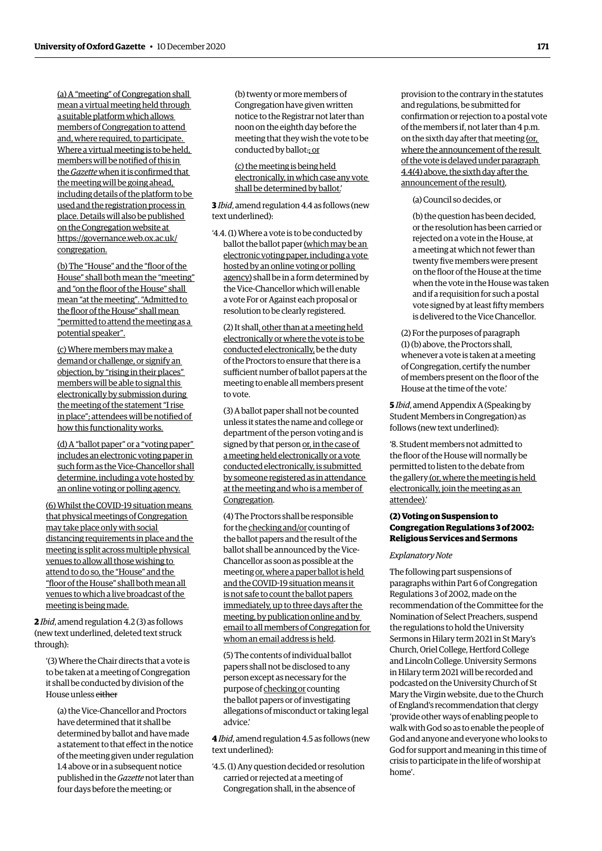(a) A "meeting" of Congregation shall mean a virtual meeting held through a suitable platform which allows members of Congregation to attend and, where required, to participate. Where a virtual meeting is to be held, members will be notifed of this in the *Gazette* when it is confrmed that the meeting will be going ahead, including details of the platform to be used and the registration process in place. Details will also be published on the Congregation website at [https://governance.web.ox.ac.uk/](https://governance.web.ox.ac.uk/congregation) [congregation](https://governance.web.ox.ac.uk/congregation).

(b) The "House" and the "floor of the House" shall both mean the "meeting" and "on the floor of the House" shall mean "at the meeting". "Admitted to the floor of the House" shall mean "permitted to attend the meeting as a potential speaker".

(c) Where members may make a demand or challenge, or signify an objection, by "rising in their places" members will be able to signal this electronically by submission during the meeting of the statement "I rise in place"; attendees will be notifed of how this functionality works.

(d) A "ballot paper" or a "voting paper" includes an electronic voting paper in such form as the Vice-Chancellor shall determine, including a vote hosted by an online voting or polling agency.

(6) Whilst the COVID-19 situation means that physical meetings of Congregation may take place only with social distancing requirements in place and the meeting is split across multiple physical venues to allow all those wishing to attend to do so, the "House" and the "foor of the House" shall both mean all venues to which a live broadcast of the meeting is being made.

**2** *Ibid*, amend regulation 4.2 (3) as follows (new text underlined, deleted text struck through):

'(3) Where the Chair directs that a vote is to be taken at a meeting of Congregation it shall be conducted by division of the House unless either

(a) the Vice-Chancellor and Proctors have determined that it shall be determined by ballot and have made a statement to that efect in the notice of the meeting given under regulation 1.4 above or in a subsequent notice published in the *Gazette* not later than four days before the meeting; or

(b) twenty or more members of Congregation have given written notice to the Registrar not later than noon on the eighth day before the meeting that they wish the vote to be conducted by ballot.; or

(c) the meeting is being held electronically, in which case any vote shall be determined by ballot.'

**3** *Ibid*, amend regulation 4.4 as follows (new text underlined):

'4.4. (1) Where a vote is to be conducted by ballot the ballot paper (which may be an electronic voting paper, including a vote hosted by an online voting or polling agency) shall be in a form determined by the Vice-Chancellor which will enable a vote For or Against each proposal or resolution to be clearly registered.

(2) It shall, other than at a meeting held electronically or where the vote is to be conducted electronically, be the duty of the Proctors to ensure that there is a sufficient number of ballot papers at the meeting to enable all members present to vote.

(3) A ballot paper shall not be counted unless it states the name and college or department of the person voting and is signed by that person or, in the case of a meeting held electronically or a vote conducted electronically, is submitted by someone registered as in attendance at the meeting and who is a member of Congregation.

(4) The Proctors shall be responsible for the checking and/or counting of the ballot papers and the result of the ballot shall be announced by the Vice-Chancellor as soon as possible at the meeting or, where a paper ballot is held and the COVID-19 situation means it is not safe to count the ballot papers immediately, up to three days after the meeting, by publication online and by email to all members of Congregation for whom an email address is held.

(5) The contents of individual ballot papers shall not be disclosed to any person except as necessary for the purpose of checking or counting the ballot papers or of investigating allegations of misconduct or taking legal advice.'

**4** *Ibid*, amend regulation 4.5 as follows (new text underlined):

'4.5. (1) Any question decided or resolution carried or rejected at a meeting of Congregation shall, in the absence of

provision to the contrary in the statutes and regulations, be submitted for confrmation or rejection to a postal vote of the members if, not later than 4 p.m. on the sixth day after that meeting (or, where the announcement of the result of the vote is delayed under paragraph 4.4(4) above, the sixth day after the announcement of the result),

(a) Council so decides, or

(b) the question has been decided, or the resolution has been carried or rejected on a vote in the House, at a meeting at which not fewer than twenty five members were present on the foor of the House at the time when the vote in the House was taken and if a requisition for such a postal vote signed by at least ffty members is delivered to the Vice Chancellor.

(2) For the purposes of paragraph (1) (b) above, the Proctors shall, whenever a vote is taken at a meeting of Congregation, certify the number of members present on the floor of the House at the time of the vote.'

**5** *Ibid*, amend Appendix A (Speaking by Student Members in Congregation) as follows (new text underlined):

'8. Student members not admitted to the floor of the House will normally be permitted to listen to the debate from the gallery (or, where the meeting is held electronically, join the meeting as an attendee).'

#### **(2) Voting on Suspension to Congregation Regulations 3 of 2002: Religious Services and Sermons**

#### *Explanatory Note*

The following part suspensions of paragraphs within Part 6 of Congregation Regulations 3 of 2002, made on the recommendation of the Committee for the Nomination of Select Preachers, suspend the regulations to hold the University Sermons in Hilary term 2021 in St Mary's Church, Oriel College, Hertford College and Lincoln College. University Sermons in Hilary term 2021 will be recorded and podcasted on the University Church of St Mary the Virgin website, due to the Church of England's recommendation that clergy 'provide other ways of enabling people to walk with God so as to enable the people of God and anyone and everyone who looks to God for support and meaning in this time of crisis to participate in the life of worship at home'.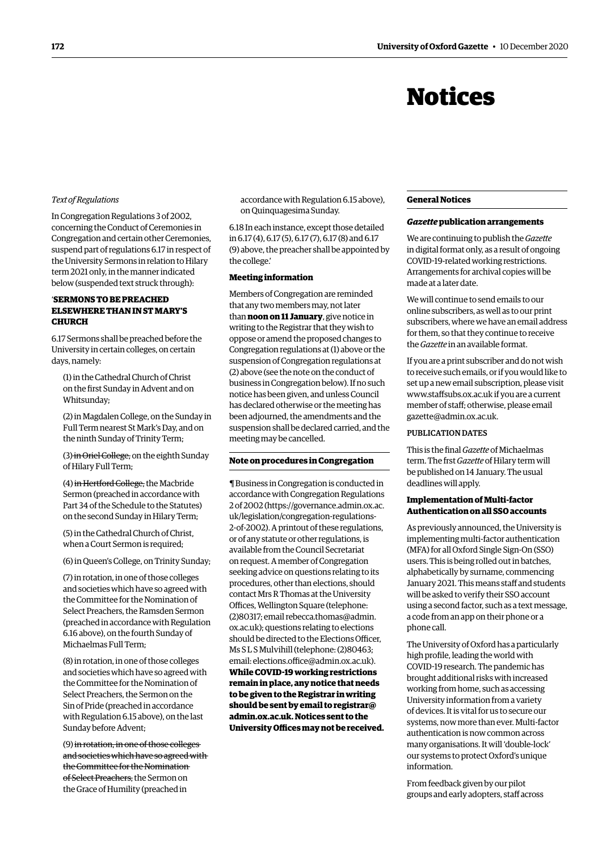## Notices

#### *Text of Regulations*

In Congregation Regulations 3 of 2002, concerning the Conduct of Ceremonies in Congregation and certain other Ceremonies, suspend part of regulations 6.17 in respect of the University Sermons in relation to Hilary term 2021 only, in the manner indicated below (suspended text struck through):

#### '**SERMONS TO BE PREACHED ELSEWHERE THAN IN ST MARY'S CHURCH**

6.17 Sermons shall be preached before the University in certain colleges, on certain days, namely:

(1) in the Cathedral Church of Christ on the frst Sunday in Advent and on Whitsunday;

(2) in Magdalen College, on the Sunday in Full Term nearest St Mark's Day, and on the ninth Sunday of Trinity Term;

(3) in Oriel College, on the eighth Sunday of Hilary Full Term;

(4) in Hertford College, the Macbride Sermon (preached in accordance with Part 34 of the Schedule to the Statutes) on the second Sunday in Hilary Term;

(5) in the Cathedral Church of Christ, when a Court Sermon is required;

(6) in Queen's College, on Trinity Sunday;

(7) in rotation, in one of those colleges and societies which have so agreed with the Committee for the Nomination of Select Preachers, the Ramsden Sermon (preached in accordance with Regulation 6.16 above), on the fourth Sunday of Michaelmas Full Term;

(8) in rotation, in one of those colleges and societies which have so agreed with the Committee for the Nomination of Select Preachers, the Sermon on the Sin of Pride (preached in accordance with Regulation 6.15 above), on the last Sunday before Advent;

(9) in rotation, in one of those colleges and societies which have so agreed with the Committee for the Nomination of Select Preachers, the Sermon on the Grace of Humility (preached in

accordance with Regulation 6.15 above), on Quinquagesima Sunday.

6.18 In each instance, except those detailed in 6.17 (4), 6.17 (5), 6.17 (7), 6.17 (8) and 6.17 (9) above, the preacher shall be appointed by the college.'

#### **Meeting information**

Members of Congregation are reminded that any two members may, not later than **noon on 11 January**, give notice in writing to the Registrar that they wish to oppose or amend the proposed changes to Congregation regulations at (1) above or the suspension of Congregation regulations at (2) above (see the note on the conduct of business in Congregation below). If no such notice has been given, and unless Council has declared otherwise or the meeting has been adjourned, the amendments and the suspension shall be declared carried, and the meeting may be cancelled.

#### **Note on procedures in Congregation**

¶ Business in Congregation is conducted in accordance with Congregation Regulations 2 of 2002 [\(https://governance.admin.ox.ac.](https://governance.admin.ox.ac.uk/legislation/congregation-regulations-2-of-2002) [uk/legislation/congregation-regulations-](https://governance.admin.ox.ac.uk/legislation/congregation-regulations-2-of-2002)[2-of-2002\).](https://governance.admin.ox.ac.uk/legislation/congregation-regulations-2-of-2002) A printout of these regulations, or of any statute or other regulations, is available from the Council Secretariat on request. A member of Congregation seeking advice on questions relating to its procedures, other than elections, should contact Mrs R Thomas at the University Offices, Wellington Square (telephone: (2)80317; email [rebecca.thomas@admin.](mailto:rebecca.thomas%40admin.ox.ac.uk?subject=) [ox.ac.uk](mailto:rebecca.thomas%40admin.ox.ac.uk?subject=)); questions relating to elections should be directed to the Elections Officer. Ms S L S Mulvihill (telephone: (2)80463; email: elections.office@admin.ox.ac.uk). **While COVID-19 working restrictions remain in place, any notice that needs to be given to the Registrar in writing should be sent by email to [registrar@](mailto:registrar%40admin.ox.ac.uk?subject=) [admin.ox.ac.uk](mailto:registrar%40admin.ox.ac.uk?subject=). Notices sent to the**  University Offices may not be received.

#### **General Notices**

#### *Gazette* **publication arrangements**

We are continuing to publish the *Gazette*  in digital format only, as a result of ongoing COVID-19-related working restrictions. Arrangements for archival copies will be made at a later date.

We will continue to send emails to our online subscribers, as well as to our print subscribers, where we have an email address for them, so that they continue to receive the *Gazette* in an available format.

If you are a print subscriber and do not wish to receive such emails, or if you would like to set up a new email subscription, please visit [www.stafsubs.ox.ac.uk](http://www.staffsubs.ox.ac.uk) if you are a current member of staf; otherwise, please email [gazette@admin.ox.ac.uk](mailto:gazette%40admin.ox.ac.uk?subject=).

#### PUBLICATION DATES

This is the fnal *Gazette* of Michaelmas term. The frst *Gazette* of Hilary term will be published on 14 January. The usual deadlines will apply.

#### **Implementation of Multi-factor Authentication on all SSO accounts**

As previously announced, the University is implementing multi-factor authentication (MFA) for all Oxford Single Sign-On (SSO) users. This is being rolled out in batches, alphabetically by surname, commencing January 2021. This means staff and students will be asked to verify their SSO account using a second factor, such as a text message, a code from an app on their phone or a phone call.

The University of Oxford has a particularly high profle, leading the world with COVID-19 research. The pandemic has brought additional risks with increased working from home, such as accessing University information from a variety of devices. It is vital for us to secure our systems, now more than ever. Multi-factor authentication is now common across many organisations. It will 'double-lock' our systems to protect Oxford's unique information.

From feedback given by our pilot groups and early adopters, staf across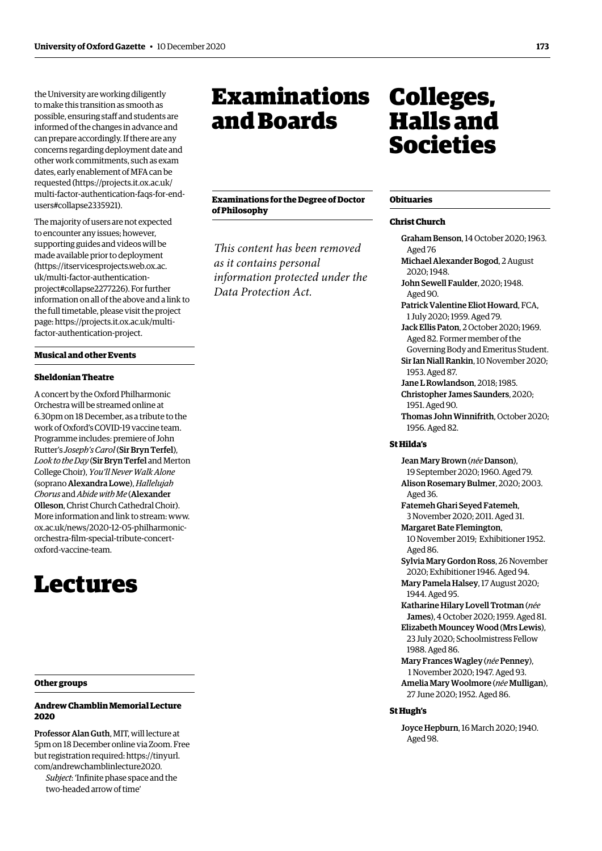<span id="page-8-0"></span>the University are working diligently to make this transition as smooth as possible, ensuring staff and students are informed of the changes in advance and can prepare accordingly. If there are any concerns regarding deployment date and other work commitments, such as exam dates, early enablement of MFA can be requested [\(https://projects.it.ox.ac.uk/](https://projects.it.ox.ac.uk/multi-factor-authentication-faqs-for-end-users#collapse2335921)  [multi-factor-authentication-faqs-for-end](https://projects.it.ox.ac.uk/multi-factor-authentication-faqs-for-end-users#collapse2335921)[users#collapse2335921\)](https://projects.it.ox.ac.uk/multi-factor-authentication-faqs-for-end-users#collapse2335921).

The majority of users are not expected to encounter any issues; however, supporting guides and videos will be made available prior to deployment ([https://itservicesprojects.web.ox.ac.](https://itservicesprojects.web.ox.ac.uk/multi-factor-authentication-project#collapse2277226) [uk/multi-factor-authentication](https://itservicesprojects.web.ox.ac.uk/multi-factor-authentication-project#collapse2277226)[project#collapse2277226\)](https://itservicesprojects.web.ox.ac.uk/multi-factor-authentication-project#collapse2277226). For further information on all of the above and a link to the full timetable, please visit the project page: [https://projects.it.ox.ac.uk/multi](https://projects.it.ox.ac.uk/multi-factor-authentication-project)[factor-authentication-project](https://projects.it.ox.ac.uk/multi-factor-authentication-project).

#### **Musical and other Events**

#### **Sheldonian Theatre**

A concert by the Oxford Philharmonic Orchestra will be streamed online at 6.30pm on 18 December, as a tribute to the work of Oxford's COVID-19 vaccine team. Programme includes: premiere of John Rutter's *Joseph's Carol* (Sir Bryn Terfel), *Look to the Day* (Sir Bryn Terfel and Merton College Choir), *You'll Never Walk Alone*  (soprano Alexandra Lowe), *Hallelujah Chorus* and *Abide with Me* (Alexander Olleson, Christ Church Cathedral Choir). More information and link to stream: [www.](http://www.ox.ac.uk/news/2020-12-05-philharmonic-orchestra-film-special-tribute-concert-oxford-vaccine-team)  [ox.ac.uk/news/2020-12-05-philharmonic](http://www.ox.ac.uk/news/2020-12-05-philharmonic-orchestra-film-special-tribute-concert-oxford-vaccine-team)[orchestra-flm-special-tribute-concert](http://www.ox.ac.uk/news/2020-12-05-philharmonic-orchestra-film-special-tribute-concert-oxford-vaccine-team)[oxford-vaccine-team.](http://www.ox.ac.uk/news/2020-12-05-philharmonic-orchestra-film-special-tribute-concert-oxford-vaccine-team)

## Lectures

#### **Other groups**

**Andrew Chamblin Memorial Lecture 2020** 

Professor Alan Guth, MIT, will lecture at 5pm on 18 December online via Zoom. Free but registration required: [https://tinyurl.](https://tinyurl.com/andrewchamblinlecture2020) [com/andrewchamblinlecture2020.](https://tinyurl.com/andrewchamblinlecture2020)

*Subject*: 'Infnite phase space and the two-headed arrow of time'

## Examinations and Boards

**Examinations for the Degree of Doctor of Philosophy** 

*This content has been removed as it contains personal information protected under the Data Protection Act.*

## Colleges, Halls and Societies

#### **Obituaries**

#### **Christ Church**

Graham Benson, 14 October 2020; 1963. Aged 76 Michael Alexander Bogod, 2 August 2020; 1948. John Sewell Faulder, 2020; 1948. Aged 90. Patrick Valentine Eliot Howard, FCA, 1 July 2020; 1959. Aged 79. Jack Ellis Paton, 2 October 2020; 1969. Aged 82. Former member of the Governing Body and Emeritus Student. Sir Ian Niall Rankin, 10 November 2020; 1953. Aged 87. Jane L Rowlandson, 2018; 1985. Christopher James Saunders, 2020; 1951. Aged 90. Thomas John Winnifrith, October 2020; 1956. Aged 82. **St Hilda's**  Jean Mary Brown (*née* Danson), 19 September 2020; 1960. Aged 79. Alison Rosemary Bulmer, 2020; 2003. Aged 36. Fatemeh Ghari Seyed Fatemeh, 3 November 2020; 2011. Aged 31. Margaret Bate Flemington, 10 November 2019; Exhibitioner 1952. Aged 86. Sylvia Mary Gordon Ross, 26 November 2020; Exhibitioner 1946. Aged 94. Mary Pamela Halsey, 17 August 2020; 1944. Aged 95. Katharine Hilary Lovell Trotman (*née*  James), 4 October 2020; 1959. Aged 81. Elizabeth Mouncey Wood (Mrs Lewis), 23 July 2020; Schoolmistress Fellow 1988. Aged 86. Mary Frances Wagley (*née* Penney), 1 November 2020; 1947. Aged 93. Amelia Mary Woolmore (*née* Mulligan), 27 June 2020; 1952. Aged 86.

#### **St Hugh's**

Joyce Hepburn, 16 March 2020; 1940. Aged 98.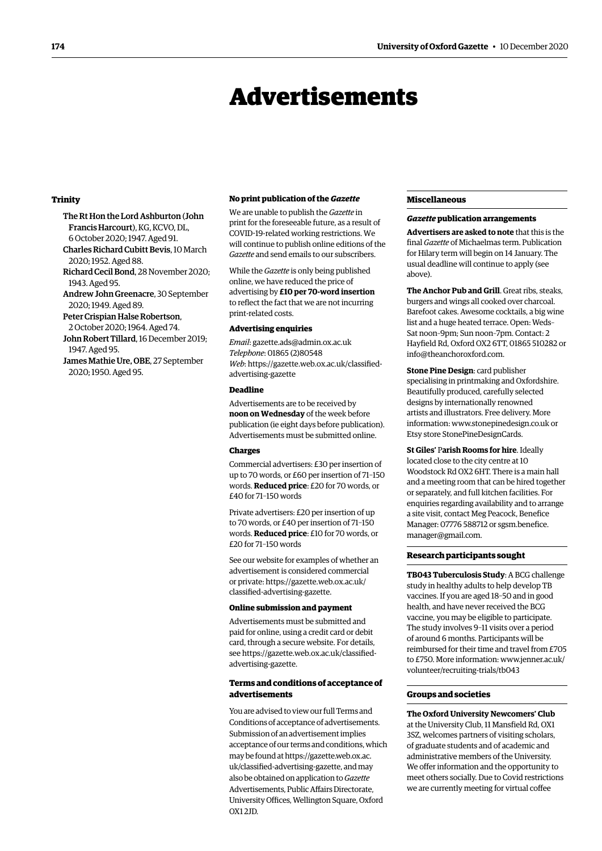### Advertisements

#### <span id="page-9-0"></span>**Trinity**

The Rt Hon the Lord Ashburton (John Francis Harcourt), KG, KCVO, DL, 6 October 2020; 1947. Aged 91.

- Charles Richard Cubitt Bevis, 10 March 2020; 1952. Aged 88.
- Richard Cecil Bond, 28 November 2020; 1943. Aged 95.
- Andrew John Greenacre, 30 September 2020; 1949. Aged 89.
- Peter Crispian Halse Robertson, 2 October 2020; 1964. Aged 74.
- John Robert Tillard, 16 December 2019; 1947. Aged 95.
- James Mathie Ure, OBE, 27 September 2020; 1950. Aged 95.

#### **No print publication of the** *Gazette*

We are unable to publish the *Gazette* in print for the foreseeable future, as a result of COVID-19-related working restrictions. We will continue to publish online editions of the *Gazette* and send emails to our subscribers.

While the *Gazette* is only being published online, we have reduced the price of advertising by **£10 per 70-word insertion**  to refect the fact that we are not incurring print-related costs.

#### **Advertising enquiries**

*Email*: [gazette.ads@admin.ox.ac.uk](mailto:gazette.ads%40admin.ox.ac.uk?subject=)  *Telephone*: 01865 (2)80548 *Web*: https:/[/gazette.web.ox.ac.uk/classifed](https://gazette.web.ox.ac.uk/classified-advertising-gazette)[advertising](https://gazette.web.ox.ac.uk/classified-advertising-gazette)-gazette

#### **Deadline**

Advertisements are to be received by **noon on Wednesday** of the week before publication (ie eight days before publication). Advertisements must be submitted online.

#### **Charges**

Commercial advertisers: £30 per insertion of up to 70 words, or £60 per insertion of 71–150 words. **Reduced price**: £20 for 70 words, or £40 for 71–150 words

Private advertisers: £20 per insertion of up to 70 words, or £40 per insertion of 71–150 words. **Reduced price**: £10 for 70 words, or £20 for 71–150 words

See our website for examples of whether an advertisement is considered commercial or private: https:/[/gazette.web.ox.ac.uk/](https://gazette.web.ox.ac.uk/classified-advertising-gazette) [classifed-advertising-](https://gazette.web.ox.ac.uk/classified-advertising-gazette)gazette.

#### **Online submission and payment**

Advertisements must be submitted and paid for online, using a credit card or debit card, through a secure website. For details, see https://[gazette.web.ox.ac.uk/classifed](https://gazette.web.ox.ac.uk/classified-advertising-gazette)[advertising](https://gazette.web.ox.ac.uk/classified-advertising-gazette)-gazette.

#### **Terms and conditions of acceptance of advertisements**

You are advised to view our full Terms and Conditions of acceptance of advertisements. Submission of an advertisement implies acceptance of our terms and conditions, which may be found at [https://gazette.web.ox.ac.](https://gazette.web.ox.ac.uk/classified-advertising-gazette) [uk/classifed-advertising-gazette,](https://gazette.web.ox.ac.uk/classified-advertising-gazette) and may also be obtained on application to *Gazette*  Advertisements, Public Afairs Directorate, University Offices, Wellington Square, Oxford OX1 2JD*.* 

#### **Miscellaneous**

#### *Gazette* **publication arrangements**

**Advertisers are asked to note** that this is the final *Gazette* of Michaelmas term. Publication for Hilary term will begin on 14 January. The usual deadline will continue to apply (see above).

**The Anchor Pub and Grill**. Great ribs, steaks, burgers and wings all cooked over charcoal. Barefoot cakes. Awesome cocktails, a big wine list and a huge heated terrace. Open: Weds– Sat noon–9pm; Sun noon–7pm. Contact: 2 Hayfield Rd, Oxford OX2 6TT, 01865 510282 or [info@theanchoroxford.com](mailto:info@theanchoroxford.com).

**Stone Pine Design**: card publisher specialising in printmaking and Oxfordshire. Beautifully produced, carefully selected designs by internationally renowned artists and illustrators. Free delivery. More information: [www.stonepinedesign.co.uk](http://www.stonepinedesign.co.uk) or Etsy store StonePineDesignCards.

**St Giles'** P**arish Rooms for hire**. Ideally located close to the city centre at 10 Woodstock Rd OX2 6HT. There is a main hall and a meeting room that can be hired together or separately, and full kitchen facilities. For enquiries regarding availability and to arrange a site visit, contact Meg Peacock, Benefice Manager: 07776 588712 or [sgsm.benefice.](mailto:sgsm.benefice.manager@gmail.com)  [manager@gmail.com](mailto:sgsm.benefice.manager@gmail.com).

#### **Research participants sought**

**TB043 Tuberculosis Study**: A BCG challenge study in healthy adults to help develop TB vaccines. If you are aged 18–50 and in good health, and have never received the BCG vaccine, you may be eligible to participate. The study involves 9–11 visits over a period of around 6 months. Participants will be reimbursed for their time and travel from £705 to £750. More information: [www.jenner.ac.uk/](http://www.jenner.ac.uk/volunteer/recruiting-trials/tb043)  [volunteer/recruiting-trials/tb043](http://www.jenner.ac.uk/volunteer/recruiting-trials/tb043) 

#### **Groups and societies**

**The Oxford University Newcomers' Club**  at the University Club, 11 Mansfield Rd, OX1 3SZ, welcomes partners of visiting scholars, of graduate students and of academic and administrative members of the University. We offer information and the opportunity to meet others socially. Due to Covid restrictions we are currently meeting for virtual coffee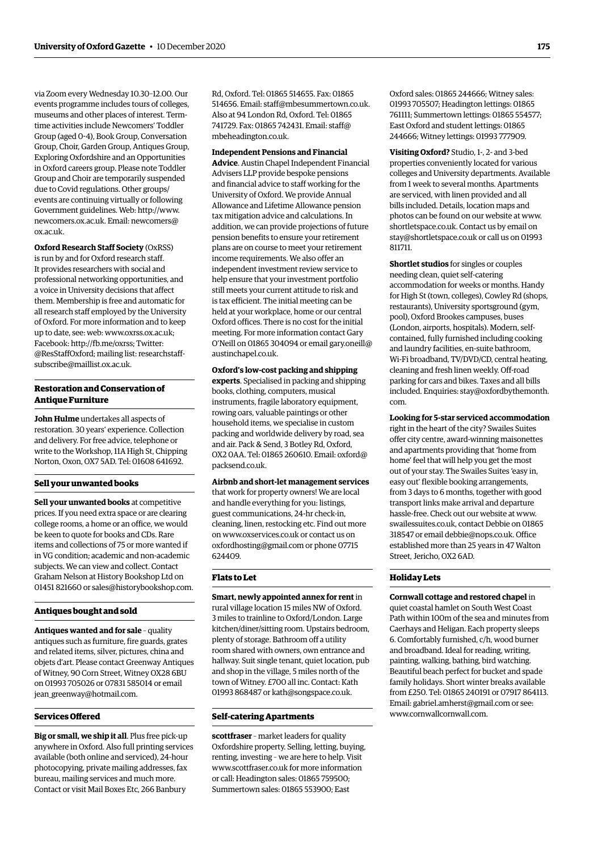via Zoom every Wednesday [10.30–12.00.](https://10.30�12.00) Our events programme includes tours of colleges, museums and other places of interest. Termtime activities include Newcomers' Toddler Group (aged 0-4), Book Group, Conversation Group, Choir, Garden Group, Antiques Group, Exploring Oxfordshire and an Opportunities in Oxford careers group. Please note Toddler Group and Choir are temporarily suspended due to Covid regulations. Other groups/ events are continuing virtually or following Government guidelines. Web: [http://www.](http://www.newcomers.ox.ac.uk)  [newcomers.ox.ac.uk](http://www.newcomers.ox.ac.uk). Email: [newcomers@](mailto:newcomers@ox.ac.uk)  [ox.ac.uk.](mailto:newcomers@ox.ac.uk)

**Oxford Research Staff Society** (OxRSS) is run by and for Oxford research staff. It provides researchers with social and professional networking opportunities, and a voice in University decisions that affect them. Membership is free and automatic for all research staff employed by the University of Oxford. For more information and to keep up to date, see: web: [www.oxrss.ox.ac.uk;](http://www.oxrss.ox.ac.uk) Facebook: [http://fb.me/oxrss;](http://fb.me/oxrss) Twitter: [@ResStaffOxford;](https://twitter.com/resstaffoxford) mailing list: [researchstaff](http://researchstaff-subscribe@maillist.ox.ac.uk)[subscribe@maillist.ox.ac.uk.](http://researchstaff-subscribe@maillist.ox.ac.uk)

#### **Restoration and Conservation of Antique Furniture**

**John Hulme** undertakes all aspects of restoration. 30 years' experience. Collection and delivery. For free advice, telephone or write to the Workshop, 11A High St, Chipping Norton, Oxon, OX7 5AD. Tel: 01608 641692.

#### **Sell your unwanted books**

**Sell your unwanted books** at competitive prices. If you need extra space or are clearing college rooms, a home or an office, we would be keen to quote for books and CDs. Rare items and collections of 75 or more wanted if in VG condition; academic and non-academic subjects. We can view and collect. Contact Graham Nelson at History Bookshop Ltd on 01451 821660 or [sales@historybookshop.com.](mailto:sales@historybookshop.com)

#### **Antiques bought and sold**

**Antiques wanted and for sale** – quality antiques such as furniture, fire guards, grates and related items, silver, pictures, china and objets d'art. Please contact Greenway Antiques of Witney, 90 Corn Street, Witney OX28 6BU on 01993 705026 or 07831 585014 or email [jean\\_greenway@hotmail.com.](mailto:jean_greenway@hotmail.com)

#### **Services Ofered**

**Big or small, we ship it all**. Plus free pick-up anywhere in Oxford. Also full printing services available (both online and serviced), 24-hour photocopying, private mailing addresses, fax bureau, mailing services and much more. Contact or visit Mail Boxes Etc, 266 Banbury

Rd, Oxford. Tel: 01865 514655. Fax: 01865 514656. Email: [staff@mbesummertown.co.uk](mailto:staff@mbesummertown.co.uk). Also at 94 London Rd, Oxford. Tel: 01865 741729. Fax: 01865 742431. Email: [staff@](mailto:staff@mbeheadington.co.uk) [mbeheadington.co.uk](mailto:staff@mbeheadington.co.uk).

#### **Independent Pensions and Financial**

**Advice**. Austin Chapel Independent Financial Advisers LLP provide bespoke pensions and financial advice to staff working for the University of Oxford. We provide Annual Allowance and Lifetime Allowance pension tax mitigation advice and calculations. In addition, we can provide projections of future pension benefits to ensure your retirement plans are on course to meet your retirement income requirements. We also offer an independent investment review service to help ensure that your investment portfolio still meets your current attitude to risk and is tax efficient. The initial meeting can be held at your workplace, home or our central Oxford offices. There is no cost for the initial meeting. For more information contact Gary O'Neill on 01865 304094 or email [gary.oneill@](mailto:gary.oneill@austinchapel.co.uk) [austinchapel.co.uk](mailto:gary.oneill@austinchapel.co.uk).

**Oxford's low-cost packing and shipping experts**. Specialised in packing and shipping books, clothing, computers, musical instruments, fragile laboratory equipment, rowing oars, valuable paintings or other household items, we specialise in custom packing and worldwide delivery by road, sea and air. Pack & Send, 3 Botley Rd, Oxford, OX2 0AA. Tel: 01865 260610. Email: [oxford@](mailto:oxford@packsend.co.uk) [packsend.co.uk](mailto:oxford@packsend.co.uk).

#### **Airbnb and short-let management services**

that work for property owners! We are local and handle everything for you: listings, guest communications, 24-hr check-in, cleaning, linen, restocking etc. Find out more on [www.oxservices.co.uk](http://www.oxservices.co.uk) or contact us on [oxfordhosting@gmail.com](mailto:oxfordhosting@gmail.com) or phone 07715 624409.

#### **Flats to Let**

**Smart, newly appointed annex for rent** in rural village location 15 miles NW of Oxford. 3 miles to trainline to Oxford/London. Large kitchen/diner/sitting room. Upstairs bedroom, plenty of storage. Bathroom off a utility room shared with owners, own entrance and hallway. Suit single tenant, quiet location, pub and shop in the village, 5 miles north of the town of Witney. £700 all inc. Contact: Kath 01993 868487 or [kath@songspace.co.uk.](mailto:kath@songspace.co.uk)

#### **Self-catering Apartments**

**scottfraser** – market leaders for quality Oxfordshire property. Selling, letting, buying, renting, investing – we are here to help. Visit [www.scottfraser.co.uk](http://www.scottfraser.co.uk) for more information or call: Headington sales: 01865 759500; Summertown sales: 01865 553900; East

Oxford sales: 01865 244666; Witney sales: 01993 705507; Headington lettings: 01865 761111; Summertown lettings: 01865 554577; East Oxford and student lettings: 01865 244666; Witney lettings: 01993 777909.

**Visiting Oxford?** Studio, 1-, 2- and 3-bed properties conveniently located for various colleges and University departments. Available from 1 week to several months. Apartments are serviced, with linen provided and all bills included. Details, location maps and photos can be found on our website at [www.](http://www.shortletspace.co.uk) [shortletspace.co.uk](http://www.shortletspace.co.uk). Contact us by email on [stay@shortletspace.co.uk](mailto:stay@shortletspace.co.uk) or call us on 01993 811711.

**Shortlet studios** for singles or couples needing clean, quiet self-catering accommodation for weeks or months. Handy for High St (town, colleges), Cowley Rd (shops, restaurants), University sportsground (gym, pool), Oxford Brookes campuses, buses (London, airports, hospitals). Modern, selfcontained, fully furnished including cooking and laundry facilities, en-suite bathroom, Wi-Fi broadband, TV/DVD/CD, central heating, cleaning and fresh linen weekly. Off-road parking for cars and bikes. Taxes and all bills included. Enquiries: [stay@oxfordbythemonth.](mailto:stay@oxfordbythemonth.com) [com](mailto:stay@oxfordbythemonth.com).

**Looking for 5-star serviced accommodation**  right in the heart of the city? Swailes Suites offer city centre, award-winning maisonettes and apartments providing that 'home from home' feel that will help you get the most out of your stay. The Swailes Suites 'easy in, easy out' flexible booking arrangements, from 3 days to 6 months, together with good transport links make arrival and departure hassle-free. Check out our website at [www.](http://www.swailessuites.co.uk)  [swailessuites.co.uk](http://www.swailessuites.co.uk), contact Debbie on 01865 318547 or email [debbie@nops.co.uk](mailto:debbie@nops.co.uk). Office established more than 25 years in 47 Walton Street, Jericho, OX2 6AD.

#### **Holiday Lets**

**Cornwall cottage and restored chapel** in quiet coastal hamlet on South West Coast Path within 100m of the sea and minutes from Caerhays and Heligan. Each property sleeps 6. Comfortably furnished, c/h, wood burner and broadband. Ideal for reading, writing, painting, walking, bathing, bird watching. Beautiful beach perfect for bucket and spade family holidays. Short winter breaks available from £250. Tel: 01865 240191 or 07917 864113. Email: [gabriel.amherst@gmail.com](mailto:gabriel.amherst@gmail.com) or see: [www.cornwallcornwall.com.](http://www.cornwallcornwall.com)